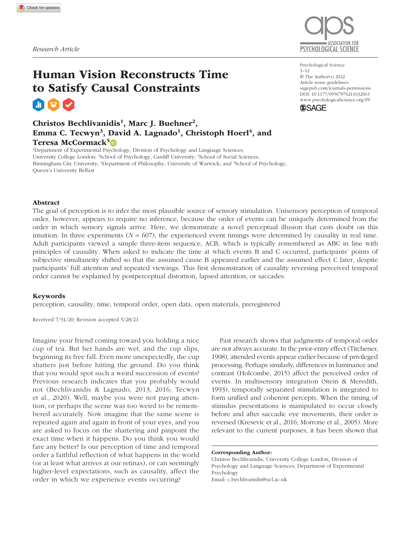

Psychological Science

© The Author(s) 2022 Article reuse guidelines: sagepub.com/journals-permissions www.psychologicalscience.org/PS

**SSAGE** 

 $1 - 12$ 

https://doi.org/10.1177/09567976211032663 DOI: 10.1177/09567976211032663

# Human Vision Reconstructs Time to Satisfy Causal Constraints

# Christos Bechlivanidis<sup>1</sup>, Marc J. Buehner<sup>2</sup>, Emma C. Tecwyn<sup>3</sup>, David A. Lagnado<sup>1</sup>, Christoph Hoerl<sup>4</sup>, and Teresa McCormack<sup>5</sup>®

<sup>1</sup>Department of Experimental Psychology, Division of Psychology and Language Sciences, University College London; <sup>2</sup>School of Psychology, Cardiff University; <sup>3</sup>School of Social Sciences, Birmingham City University; <sup>4</sup>Department of Philosophy, University of Warwick; and <sup>5</sup>School of Psychology, Queen's University Belfast

## Abstract

The goal of perception is to infer the most plausible source of sensory stimulation. Unisensory perception of temporal order, however, appears to require no inference, because the order of events can be uniquely determined from the order in which sensory signals arrive. Here, we demonstrate a novel perceptual illusion that casts doubt on this intuition: In three experiments  $(N = 607)$ , the experienced event timings were determined by causality in real time. Adult participants viewed a simple three-item sequence, ACB, which is typically remembered as ABC in line with principles of causality. When asked to indicate the time at which events B and C occurred, participants' points of subjective simultaneity shifted so that the assumed cause B appeared earlier and the assumed effect C later, despite participants' full attention and repeated viewings. This first demonstration of causality reversing perceived temporal order cannot be explained by postperceptual distortion, lapsed attention, or saccades.

### Keywords

perception, causality, time, temporal order, open data, open materials, preregistered

Received 7/31/20; Revision accepted 5/28/21

Imagine your friend coming toward you holding a nice cup of tea. But her hands are wet, and the cup slips, beginning its free fall. Even more unexpectedly, the cup shatters just before hitting the ground. Do you think that you would spot such a weird succession of events? Previous research indicates that you probably would not (Bechlivanidis & Lagnado, 2013, 2016; Tecwyn et al., 2020). Well, maybe you were not paying attention, or perhaps the scene was too weird to be remembered accurately. Now imagine that the same scene is repeated again and again in front of your eyes, and you are asked to focus on the shattering and pinpoint the exact time when it happens. Do you think you would fare any better? Is our perception of time and temporal order a faithful reflection of what happens in the world (or at least what arrives at our retinas), or can seemingly higher-level expectations, such as causality, affect the order in which we experience events occurring?

Past research shows that judgments of temporal order are not always accurate. In the prior-entry effect (Titchener, 1908), attended events appear earlier because of privileged processing. Perhaps similarly, differences in luminance and contrast (Holcombe, 2015) affect the perceived order of events. In multisensory integration (Stein & Meredith, 1993), temporally separated stimulation is integrated to form unified and coherent percepts. When the timing of stimulus presentations is manipulated to occur closely before and after saccadic eye movements, their order is reversed (Kresevic et al., 2016; Morrone et al., 2005). More relevant to the current purposes, it has been shown that

Corresponding Author:

Christos Bechlivanidis, University College London, Division of Psychology and Language Sciences, Department of Experimental Psychology Email: c.bechlivanidis@ucl.ac.uk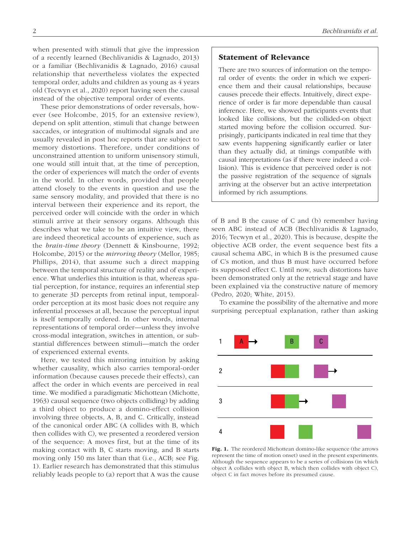when presented with stimuli that give the impression of a recently learned (Bechlivanidis & Lagnado, 2013) or a familiar (Bechlivanidis & Lagnado, 2016) causal relationship that nevertheless violates the expected temporal order, adults and children as young as 4 years old (Tecwyn et al., 2020) report having seen the causal instead of the objective temporal order of events.

These prior demonstrations of order reversals, however (see Holcombe, 2015, for an extensive review), depend on split attention, stimuli that change between saccades, or integration of multimodal signals and are usually revealed in post hoc reports that are subject to memory distortions. Therefore, under conditions of unconstrained attention to uniform unisensory stimuli, one would still intuit that, at the time of perception, the order of experiences will match the order of events in the world. In other words, provided that people attend closely to the events in question and use the same sensory modality, and provided that there is no interval between their experience and its report, the perceived order will coincide with the order in which stimuli arrive at their sensory organs. Although this describes what we take to be an intuitive view, there are indeed theoretical accounts of experience, such as the *brain-time theory* (Dennett & Kinsbourne, 1992; Holcombe, 2015) or the *mirroring theory* (Mellor, 1985; Phillips, 2014), that assume such a direct mapping between the temporal structure of reality and of experience. What underlies this intuition is that, whereas spatial perception, for instance, requires an inferential step to generate 3D percepts from retinal input, temporalorder perception at its most basic does not require any inferential processes at all, because the perceptual input is itself temporally ordered. In other words, internal representations of temporal order—unless they involve cross-modal integration, switches in attention, or substantial differences between stimuli—match the order of experienced external events.

Here, we tested this mirroring intuition by asking whether causality, which also carries temporal-order information (because causes precede their effects), can affect the order in which events are perceived in real time. We modified a paradigmatic Michottean (Michotte, 1963) causal sequence (two objects colliding) by adding a third object to produce a domino-effect collision involving three objects, A, B, and C. Critically, instead of the canonical order ABC (A collides with B, which then collides with C), we presented a reordered version of the sequence: A moves first, but at the time of its making contact with B, C starts moving, and B starts moving only 150 ms later than that (i.e., ACB; see Fig. 1). Earlier research has demonstrated that this stimulus reliably leads people to (a) report that A was the cause

# Statement of Relevance

There are two sources of information on the temporal order of events: the order in which we experience them and their causal relationships, because causes precede their effects. Intuitively, direct experience of order is far more dependable than causal inference. Here, we showed participants events that looked like collisions, but the collided-on object started moving before the collision occurred. Surprisingly, participants indicated in real time that they saw events happening significantly earlier or later than they actually did, at timings compatible with causal interpretations (as if there were indeed a collision). This is evidence that perceived order is not the passive registration of the sequence of signals arriving at the observer but an active interpretation informed by rich assumptions.

of B and B the cause of C and (b) remember having seen ABC instead of ACB (Bechlivanidis & Lagnado, 2016; Tecwyn et al., 2020). This is because, despite the objective ACB order, the event sequence best fits a causal schema ABC, in which B is the presumed cause of C's motion, and thus B must have occurred before its supposed effect C. Until now, such distortions have been demonstrated only at the retrieval stage and have been explained via the constructive nature of memory (Pedro, 2020; White, 2015).

To examine the possibility of the alternative and more surprising perceptual explanation, rather than asking



Fig. 1. The reordered Michottean domino-like sequence (the arrows represent the time of motion onset) used in the present experiments. Although the sequence appears to be a series of collisions (in which object A collides with object B, which then collides with object C), object C in fact moves before its presumed cause.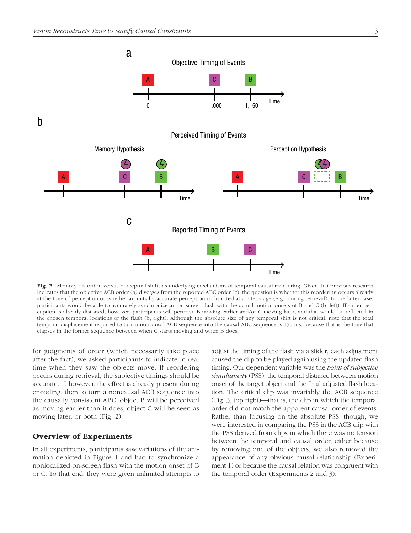

Fig. 2. Memory distortion versus perceptual shifts as underlying mechanisms of temporal causal reordering. Given that previous research indicates that the objective ACB order (a) diverges from the reported ABC order (c), the question is whether this reordering occurs already at the time of perception or whether an initially accurate perception is distorted at a later stage (e.g., during retrieval). In the latter case, participants would be able to accurately synchronize an on-screen flash with the actual motion onsets of B and C (b, left). If order perception is already distorted, however, participants will perceive B moving earlier and/or C moving later, and that would be reflected in the chosen temporal locations of the flash (b, right). Although the absolute size of any temporal shift is not critical, note that the total temporal displacement required to turn a noncausal ACB sequence into the causal ABC sequence is 150 ms, because that is the time that elapses in the former sequence between when C starts moving and when B does.

for judgments of order (which necessarily take place after the fact), we asked participants to indicate in real time when they saw the objects move. If reordering occurs during retrieval, the subjective timings should be accurate. If, however, the effect is already present during encoding, then to turn a noncausal ACB sequence into the causally consistent ABC, object B will be perceived as moving earlier than it does, object C will be seen as moving later, or both (Fig. 2).

# Overview of Experiments

In all experiments, participants saw variations of the animation depicted in Figure 1 and had to synchronize a nonlocalized on-screen flash with the motion onset of B or C. To that end, they were given unlimited attempts to adjust the timing of the flash via a slider; each adjustment caused the clip to be played again using the updated flash timing. Our dependent variable was the *point of subjective simultaneity* (PSS), the temporal distance between motion onset of the target object and the final adjusted flash location. The critical clip was invariably the ACB sequence (Fig. 3, top right)—that is, the clip in which the temporal order did not match the apparent causal order of events. Rather than focusing on the absolute PSS, though, we were interested in comparing the PSS in the ACB clip with the PSS derived from clips in which there was no tension between the temporal and causal order, either because by removing one of the objects, we also removed the appearance of any obvious causal relationship (Experiment 1) or because the causal relation was congruent with the temporal order (Experiments 2 and 3).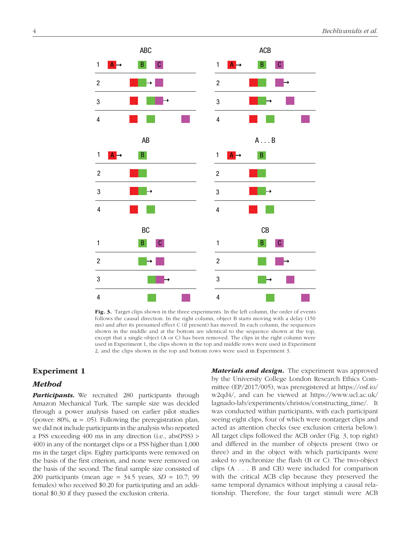

Fig. 3. Target clips shown in the three experiments. In the left column, the order of events follows the causal direction. In the right column, object B starts moving with a delay (150 ms) and after its presumed effect C (if present) has moved. In each column, the sequences shown in the middle and at the bottom are identical to the sequence shown at the top, except that a single object (A or C) has been removed. The clips in the right column were used in Experiment 1, the clips shown in the top and middle rows were used in Experiment 2, and the clips shown in the top and bottom rows were used in Experiment 3.

# Experiment 1

# Method

Participants. We recruited 280 participants through Amazon Mechanical Turk. The sample size was decided through a power analysis based on earlier pilot studies (power: 80%,  $\alpha$  = .05). Following the preregistration plan, we did not include participants in the analysis who reported a PSS exceeding 400 ms in any direction (i.e., abs(PSS) > 400) in any of the nontarget clips or a PSS higher than 1,000 ms in the target clips. Eighty participants were removed on the basis of the first criterion, and none were removed on the basis of the second. The final sample size consisted of 200 participants (mean age = 34.5 years, *SD* = 10.7; 99 females) who received \$0.20 for participating and an additional \$0.30 if they passed the exclusion criteria.

**Materials and design.** The experiment was approved by the University College London Research Ethics Committee (EP/2017/005), was preregistered at https://osf.io/ w2qd4/, and can be viewed at https://www.ucl.ac.uk/ lagnado-lab/experiments/christos/constructing\_time/. It was conducted within participants, with each participant seeing eight clips, four of which were nontarget clips and acted as attention checks (see exclusion criteria below). All target clips followed the ACB order (Fig. 3, top right) and differed in the number of objects present (two or three) and in the object with which participants were asked to synchronize the flash (B or C). The two-object clips (A . . . B and CB) were included for comparison with the critical ACB clip because they preserved the same temporal dynamics without implying a causal relationship. Therefore, the four target stimuli were ACB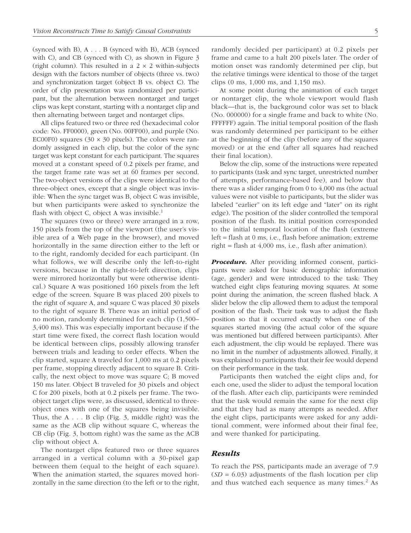(synced with B), A . . . B (synced with B), ACB (synced with C), and CB (synced with C), as shown in Figure 3 (right column). This resulted in a  $2 \times 2$  within-subjects design with the factors number of objects (three vs. two) and synchronization target (object B vs. object C). The order of clip presentation was randomized per participant, but the alternation between nontarget and target clips was kept constant, starting with a nontarget clip and then alternating between target and nontarget clips.

All clips featured two or three red (hexadecimal color code: No. FF0000), green (No. 00FF00), and purple (No. EC00F0) squares  $(30 \times 30 \text{ pixels})$ . The colors were randomly assigned in each clip, but the color of the sync target was kept constant for each participant. The squares moved at a constant speed of 0.2 pixels per frame, and the target frame rate was set at 60 frames per second. The two-object versions of the clips were identical to the three-object ones, except that a single object was invisible: When the sync target was B, object C was invisible, but when participants were asked to synchronize the flash with object C, object A was invisible.<sup>1</sup>

The squares (two or three) were arranged in a row, 150 pixels from the top of the viewport (the user's visible area of a Web page in the browser), and moved horizontally in the same direction either to the left or to the right, randomly decided for each participant. (In what follows, we will describe only the left-to-right versions, because in the right-to-left direction, clips were mirrored horizontally but were otherwise identical.) Square A was positioned 160 pixels from the left edge of the screen. Square B was placed 200 pixels to the right of square A, and square C was placed 30 pixels to the right of square B. There was an initial period of no motion, randomly determined for each clip (1,500– 3,400 ms). This was especially important because if the start time were fixed, the correct flash location would be identical between clips, possibly allowing transfer between trials and leading to order effects. When the clip started, square A traveled for 1,000 ms at 0.2 pixels per frame, stopping directly adjacent to square B. Critically, the next object to move was square C; B moved 150 ms later. Object B traveled for 30 pixels and object C for 200 pixels, both at 0.2 pixels per frame. The twoobject target clips were, as discussed, identical to threeobject ones with one of the squares being invisible. Thus, the A . . . B clip (Fig. 3, middle right) was the same as the ACB clip without square C, whereas the CB clip (Fig. 3, bottom right) was the same as the ACB clip without object A.

The nontarget clips featured two or three squares arranged in a vertical column with a 30-pixel gap between them (equal to the height of each square). When the animation started, the squares moved horizontally in the same direction (to the left or to the right, randomly decided per participant) at 0.2 pixels per frame and came to a halt 200 pixels later. The order of motion onset was randomly determined per clip, but the relative timings were identical to those of the target clips (0 ms, 1,000 ms, and 1,150 ms).

At some point during the animation of each target or nontarget clip, the whole viewport would flash black—that is, the background color was set to black (No. 000000) for a single frame and back to white (No. FFFFFF) again. The initial temporal position of the flash was randomly determined per participant to be either at the beginning of the clip (before any of the squares moved) or at the end (after all squares had reached their final location).

Below the clip, some of the instructions were repeated to participants (task and sync target, unrestricted number of attempts, performance-based fee), and below that there was a slider ranging from 0 to 4,000 ms (the actual values were not visible to participants, but the slider was labeled "earlier" on its left edge and "later" on its right edge). The position of the slider controlled the temporal position of the flash. Its initial position corresponded to the initial temporal location of the flash (extreme left = flash at 0 ms, i.e., flash before animation; extreme right = flash at 4,000 ms, i.e., flash after animation).

**Procedure.** After providing informed consent, participants were asked for basic demographic information (age, gender) and were introduced to the task: They watched eight clips featuring moving squares. At some point during the animation, the screen flashed black. A slider below the clip allowed them to adjust the temporal position of the flash. Their task was to adjust the flash position so that it occurred exactly when one of the squares started moving (the actual color of the square was mentioned but differed between participants). After each adjustment, the clip would be replayed. There was no limit in the number of adjustments allowed. Finally, it was explained to participants that their fee would depend on their performance in the task.

Participants then watched the eight clips and, for each one, used the slider to adjust the temporal location of the flash. After each clip, participants were reminded that the task would remain the same for the next clip and that they had as many attempts as needed. After the eight clips, participants were asked for any additional comment, were informed about their final fee, and were thanked for participating.

## Results

To reach the PSS, participants made an average of 7.9  $(SD = 6.03)$  adjustments of the flash location per clip and thus watched each sequence as many times. $2$  As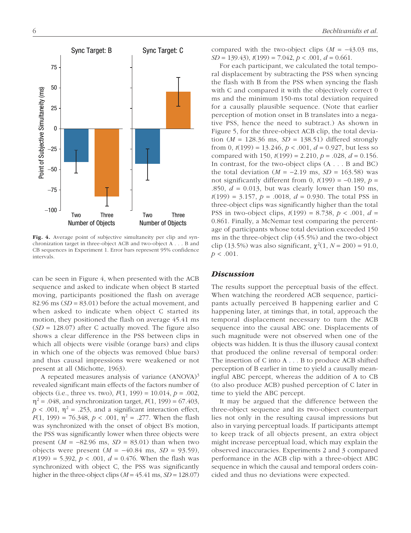

Fig. 4. Average point of subjective simultaneity per clip and synchronization target in three-object ACB and two-object A . . . B and CB sequences in Experiment 1. Error bars represent 95% confidence intervals.

can be seen in Figure 4, when presented with the ACB sequence and asked to indicate when object B started moving, participants positioned the flash on average 82.96 ms (*SD* = 83.01) before the actual movement, and when asked to indicate when object C started its motion, they positioned the flash on average 45.41 ms (*SD* = 128.07) after C actually moved. The figure also shows a clear difference in the PSS between clips in which all objects were visible (orange bars) and clips in which one of the objects was removed (blue bars) and thus causal impressions were weakened or not present at all (Michotte, 1963).

A repeated measures analysis of variance (ANOVA)<sup>3</sup> revealed significant main effects of the factors number of objects (i.e., three vs. two), *F*(1, 199) = 10.014, *p* = .002,  $\eta^2$  = .048, and synchronization target, *F*(1, 199) = 67.403,  $p < .001$ ,  $\eta^2 = .253$ , and a significant interaction effect, *F*(1, 199) = 76.348, *p* < .001,  $\eta^2$  = .277. When the flash was synchronized with the onset of object B's motion, the PSS was significantly lower when three objects were present  $(M = -82.96 \text{ ms}, SD = 83.01)$  than when two objects were present (*M* = −40.84 ms, *SD* = 93.59),  $t(199) = 5.392, p < .001, d = 0.476$ . When the flash was synchronized with object C, the PSS was significantly higher in the three-object clips  $(M = 45.41 \text{ ms}, SD = 128.07)$ 

6 *Bechlivanidis et al.*

compared with the two-object clips  $(M = -43.03$  ms, *SD* = 139.43), *t*(199) = 7.042, *p* < .001, *d* = 0.661.

For each participant, we calculated the total temporal displacement by subtracting the PSS when syncing the flash with B from the PSS when syncing the flash with C and compared it with the objectively correct 0 ms and the minimum 150-ms total deviation required for a causally plausible sequence. (Note that earlier perception of motion onset in B translates into a negative PSS, hence the need to subtract.) As shown in Figure 5, for the three-object ACB clip, the total deviation  $(M = 128.36 \text{ ms}, SD = 138.51)$  differed strongly from 0,  $t(199) = 13.246$ ,  $p < .001$ ,  $d = 0.927$ , but less so compared with 150,  $t(199) = 2.210$ ,  $p = .028$ ,  $d = 0.156$ . In contrast, for the two-object clips (A . . . B and BC) the total deviation  $(M = -2.19 \text{ ms}, SD = 163.58)$  was not significantly different from 0,  $t(199) = -0.189$ ,  $p =$ .850,  $d = 0.013$ , but was clearly lower than 150 ms, *t*(199) = 3.157, *p* = .0018, *d* = 0.930. The total PSS in three-object clips was significantly higher than the total PSS in two-object clips, *t*(199) = 8.738, *p* < .001, *d* = 0.861. Finally, a McNemar test comparing the percentage of participants whose total deviation exceeded 150 ms in the three-object clip (45.5%) and the two-object clip (13.5%) was also significant,  $\chi^2(1, N = 200) = 91.0$ ,  $p < .001$ .

# **Discussion**

The results support the perceptual basis of the effect. When watching the reordered ACB sequence, participants actually perceived B happening earlier and C happening later, at timings that, in total, approach the temporal displacement necessary to turn the ACB sequence into the causal ABC one. Displacements of such magnitude were not observed when one of the objects was hidden. It is thus the illusory causal context that produced the online reversal of temporal order: The insertion of C into A . . . B to produce ACB shifted perception of B earlier in time to yield a causally meaningful ABC percept, whereas the addition of A to CB (to also produce ACB) pushed perception of C later in time to yield the ABC percept.

It may be argued that the difference between the three-object sequence and its two-object counterpart lies not only in the resulting causal impressions but also in varying perceptual loads. If participants attempt to keep track of all objects present, an extra object might increase perceptual load, which may explain the observed inaccuracies. Experiments 2 and 3 compared performance in the ACB clip with a three-object ABC sequence in which the causal and temporal orders coincided and thus no deviations were expected.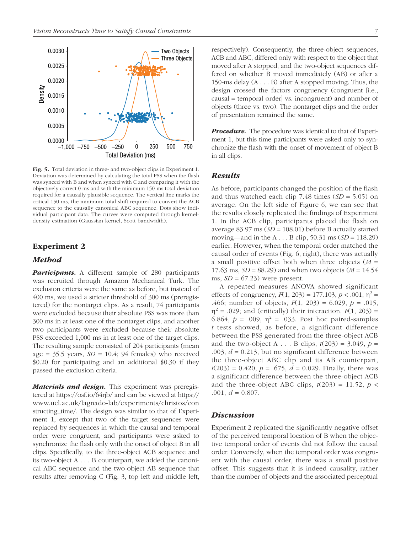

Fig. 5. Total deviation in three- and two-object clips in Experiment 1. Deviation was determined by calculating the total PSS when the flash was synced with B and when synced with C and comparing it with the objectively correct 0 ms and with the minimum 150-ms total deviation required for a causally plausible sequence. The vertical line marks the critical 150 ms, the minimum total shift required to convert the ACB sequence to the causally canonical ABC sequence. Dots show individual participant data. The curves were computed through kerneldensity estimation (Gaussian kernel, Scott bandwidth).

# Experiment 2

# Method

Participants. A different sample of 280 participants was recruited through Amazon Mechanical Turk. The exclusion criteria were the same as before, but instead of 400 ms, we used a stricter threshold of 300 ms (preregistered) for the nontarget clips. As a result, 74 participants were excluded because their absolute PSS was more than 300 ms in at least one of the nontarget clips, and another two participants were excluded because their absolute PSS exceeded 1,000 ms in at least one of the target clips. The resulting sample consisted of 204 participants (mean age =  $35.5$  years,  $SD = 10.4$ ; 94 females) who received \$0.20 for participating and an additional \$0.30 if they passed the exclusion criteria.

**Materials and design.** This experiment was preregistered at https://osf.io/64rjb/ and can be viewed at https:// www.ucl.ac.uk/lagnado-lab/experiments/christos/con structing\_time/. The design was similar to that of Experiment 1, except that two of the target sequences were replaced by sequences in which the causal and temporal order were congruent, and participants were asked to synchronize the flash only with the onset of object B in all clips. Specifically, to the three-object ACB sequence and its two-object A . . . B counterpart, we added the canonical ABC sequence and the two-object AB sequence that results after removing C (Fig. 3, top left and middle left, respectively). Consequently, the three-object sequences, ACB and ABC, differed only with respect to the object that moved after A stopped, and the two-object sequences differed on whether B moved immediately (AB) or after a 150-ms delay (A . . . B) after A stopped moving. Thus, the design crossed the factors congruency (congruent [i.e., causal = temporal order] vs. incongruent) and number of objects (three vs. two). The nontarget clips and the order of presentation remained the same.

**Procedure.** The procedure was identical to that of Experiment 1, but this time participants were asked only to synchronize the flash with the onset of movement of object B in all clips.

## Results

As before, participants changed the position of the flash and thus watched each clip 7.48 times (*SD* = 5.05) on average. On the left side of Figure 6, we can see that the results closely replicated the findings of Experiment 1. In the ACB clip, participants placed the flash on average 83.97 ms (*SD* = 108.01) before B actually started moving—and in the A . . . B clip, 50.31 ms (*SD* = 118.29) earlier. However, when the temporal order matched the causal order of events (Fig. 6, right), there was actually a small positive offset both when three objects (*M* = 17.63 ms, *SD* = 88.29) and when two objects (*M* = 14.54 ms,  $SD = 67.23$ ) were present.

A repeated measures ANOVA showed significant effects of congruency,  $F(1, 203) = 177.103$ ,  $p < .001$ ,  $\eta^2 =$ .466; number of objects, *F*(1, 203) = 6.029, *p* = .015,  $\eta^2$  = .029; and (critically) their interaction,  $F(1, 203)$  = 6.864,  $p = .009$ ,  $\eta^2 = .033$ . Post hoc paired-samples *t* tests showed, as before, a significant difference between the PSS generated from the three-object ACB and the two-object A . . . B clips,  $t(203) = 3.049$ ,  $p =$ .003,  $d = 0.213$ , but no significant difference between the three-object ABC clip and its AB counterpart,  $t(203) = 0.420$ ,  $p = .675$ ,  $d = 0.029$ . Finally, there was a significant difference between the three-object ACB and the three-object ABC clips,  $t(203) = 11.52$ ,  $p <$ .001,  $d = 0.807$ .

## Discussion

Experiment 2 replicated the significantly negative offset of the perceived temporal location of B when the objective temporal order of events did not follow the causal order. Conversely, when the temporal order was congruent with the causal order, there was a small positive offset. This suggests that it is indeed causality, rather than the number of objects and the associated perceptual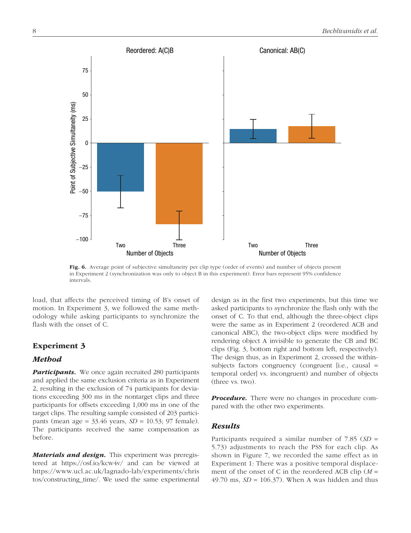

Fig. 6. Average point of subjective simultaneity per clip type (order of events) and number of objects present in Experiment 2 (synchronization was only to object B in this experiment). Error bars represent 95% confidence intervals.

load, that affects the perceived timing of B's onset of motion. In Experiment 3, we followed the same methodology while asking participants to synchronize the flash with the onset of C.

# Experiment 3

# Method

Participants. We once again recruited 280 participants and applied the same exclusion criteria as in Experiment 2, resulting in the exclusion of 74 participants for deviations exceeding 300 ms in the nontarget clips and three participants for offsets exceeding 1,000 ms in one of the target clips. The resulting sample consisted of 203 participants (mean age = 33.46 years, *SD* = 10.53; 97 female). The participants received the same compensation as before.

**Materials and design.** This experiment was preregistered at https://osf.io/kcw4v/ and can be viewed at https://www.ucl.ac.uk/lagnado-lab/experiments/chris tos/constructing\_time/. We used the same experimental design as in the first two experiments, but this time we asked participants to synchronize the flash only with the onset of C. To that end, although the three-object clips were the same as in Experiment 2 (reordered ACB and canonical ABC), the two-object clips were modified by rendering object A invisible to generate the CB and BC clips (Fig. 3, bottom right and bottom left, respectively). The design thus, as in Experiment 2, crossed the withinsubjects factors congruency (congruent [i.e., causal = temporal order] vs. incongruent) and number of objects (three vs. two).

**Procedure.** There were no changes in procedure compared with the other two experiments.

# Results

Participants required a similar number of 7.85 (*SD* = 5.73) adjustments to reach the PSS for each clip. As shown in Figure 7, we recorded the same effect as in Experiment 1: There was a positive temporal displacement of the onset of C in the reordered ACB clip (*M* = 49.70 ms,  $SD = 106.37$ ). When A was hidden and thus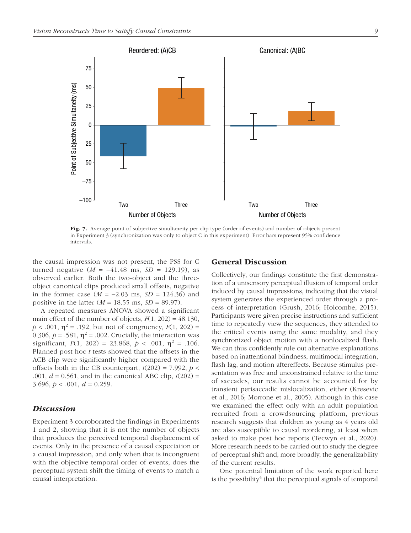

Fig. 7. Average point of subjective simultaneity per clip type (order of events) and number of objects present in Experiment 3 (synchronization was only to object C in this experiment). Error bars represent 95% confidence intervals.

the causal impression was not present, the PSS for C turned negative  $(M = -41.48 \text{ ms}, SD = 129.19)$ , as observed earlier. Both the two-object and the threeobject canonical clips produced small offsets, negative in the former case (*M* = −2.03 ms, *SD* = 124.36) and positive in the latter (*M* = 18.55 ms, *SD* = 89.97).

A repeated measures ANOVA showed a significant main effect of the number of objects,  $F(1, 202) = 48.130$ ,  $p < .001$ ,  $\eta^2 = .192$ , but not of congruency,  $F(1, 202) =$ 0.306,  $p = .581$ ,  $\eta^2 = .002$ . Crucially, the interaction was significant,  $F(1, 202) = 23.868$ ,  $p < .001$ ,  $\eta^2 = .106$ . Planned post hoc *t* tests showed that the offsets in the ACB clip were significantly higher compared with the offsets both in the CB counterpart,  $t(202) = 7.992$ ,  $p <$ .001, *d* = 0.561, and in the canonical ABC clip, *t*(202) = 3.696,  $p < .001$ ,  $d = 0.259$ .

# **Discussion**

Experiment 3 corroborated the findings in Experiments 1 and 2, showing that it is not the number of objects that produces the perceived temporal displacement of events. Only in the presence of a causal expectation or a causal impression, and only when that is incongruent with the objective temporal order of events, does the perceptual system shift the timing of events to match a causal interpretation.

# General Discussion

Collectively, our findings constitute the first demonstration of a unisensory perceptual illusion of temporal order induced by causal impressions, indicating that the visual system generates the experienced order through a process of interpretation (Grush, 2016; Holcombe, 2015). Participants were given precise instructions and sufficient time to repeatedly view the sequences, they attended to the critical events using the same modality, and they synchronized object motion with a nonlocalized flash. We can thus confidently rule out alternative explanations based on inattentional blindness, multimodal integration, flash lag, and motion aftereffects. Because stimulus presentation was free and unconstrained relative to the time of saccades, our results cannot be accounted for by transient perisaccadic mislocalization, either (Kresevic et al., 2016; Morrone et al., 2005). Although in this case we examined the effect only with an adult population recruited from a crowdsourcing platform, previous research suggests that children as young as 4 years old are also susceptible to causal reordering, at least when asked to make post hoc reports (Tecwyn et al., 2020). More research needs to be carried out to study the degree of perceptual shift and, more broadly, the generalizability of the current results.

One potential limitation of the work reported here is the possibility<sup>4</sup> that the perceptual signals of temporal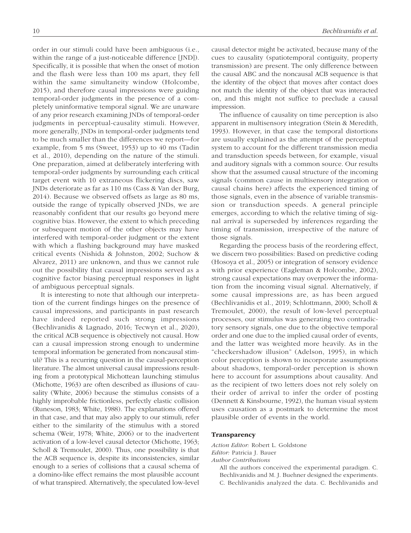order in our stimuli could have been ambiguous (i.e., within the range of a just-noticeable difference [JND]). Specifically, it is possible that when the onset of motion and the flash were less than 100 ms apart, they fell within the same simultaneity window (Holcombe, 2015), and therefore causal impressions were guiding temporal-order judgments in the presence of a completely uninformative temporal signal. We are unaware of any prior research examining JNDs of temporal-order judgments in perceptual-causality stimuli. However, more generally, JNDs in temporal-order judgments tend to be much smaller than the differences we report—for example, from 5 ms (Sweet, 1953) up to 40 ms (Tadin et al., 2010), depending on the nature of the stimuli. One preparation, aimed at deliberately interfering with temporal-order judgments by surrounding each critical target event with 10 extraneous flickering discs, saw JNDs deteriorate as far as 110 ms (Cass & Van der Burg, 2014). Because we observed offsets as large as 80 ms, outside the range of typically observed JNDs, we are reasonably confident that our results go beyond mere cognitive bias. However, the extent to which preceding or subsequent motion of the other objects may have interfered with temporal-order judgment or the extent with which a flashing background may have masked critical events (Nishida & Johnston, 2002; Suchow & Alvarez, 2011) are unknown, and thus we cannot rule out the possibility that causal impressions served as a cognitive factor biasing perceptual responses in light of ambiguous perceptual signals.

It is interesting to note that although our interpretation of the current findings hinges on the presence of causal impressions, and participants in past research have indeed reported such strong impressions (Bechlivanidis & Lagnado, 2016; Tecwyn et al., 2020), the critical ACB sequence is objectively not causal. How can a causal impression strong enough to undermine temporal information be generated from noncausal stimuli? This is a recurring question in the causal-perception literature. The almost universal causal impressions resulting from a prototypical Michottean launching stimulus (Michotte, 1963) are often described as illusions of causality (White, 2006) because the stimulus consists of a highly improbable frictionless, perfectly elastic collision (Runeson, 1983; White, 1988). The explanations offered in that case, and that may also apply to our stimuli, refer either to the similarity of the stimulus with a stored schema (Weir, 1978; White, 2006) or to the inadvertent activation of a low-level causal detector (Michotte, 1963; Scholl & Tremoulet, 2000). Thus, one possibility is that the ACB sequence is, despite its inconsistencies, similar enough to a series of collisions that a causal schema of a domino-like effect remains the most plausible account of what transpired. Alternatively, the speculated low-level causal detector might be activated, because many of the cues to causality (spatiotemporal contiguity, property transmission) are present. The only difference between the causal ABC and the noncausal ACB sequence is that the identity of the object that moves after contact does not match the identity of the object that was interacted on, and this might not suffice to preclude a causal impression.

The influence of causality on time perception is also apparent in multisensory integration (Stein & Meredith, 1993). However, in that case the temporal distortions are usually explained as the attempt of the perceptual system to account for the different transmission media and transduction speeds between, for example, visual and auditory signals with a common source. Our results show that the assumed causal structure of the incoming signals (common cause in multisensory integration or causal chains here) affects the experienced timing of those signals, even in the absence of variable transmission or transduction speeds. A general principle emerges, according to which the relative timing of signal arrival is superseded by inferences regarding the timing of transmission, irrespective of the nature of those signals.

Regarding the process basis of the reordering effect, we discern two possibilities: Based on predictive coding (Hosoya et al., 2005) or integration of sensory evidence with prior experience (Eagleman & Holcombe, 2002), strong causal expectations may overpower the information from the incoming visual signal. Alternatively, if some causal impressions are, as has been argued (Bechlivanidis et al., 2019; Schlottmann, 2000; Scholl & Tremoulet, 2000), the result of low-level perceptual processes, our stimulus was generating two contradictory sensory signals, one due to the objective temporal order and one due to the implied causal order of events, and the latter was weighted more heavily. As in the "checkershadow illusion" (Adelson, 1995), in which color perception is shown to incorporate assumptions about shadows, temporal-order perception is shown here to account for assumptions about causality. And as the recipient of two letters does not rely solely on their order of arrival to infer the order of posting (Dennett & Kinsbourne, 1992), the human visual system uses causation as a postmark to determine the most plausible order of events in the world.

## **Transparency**

*Action Editor:* Robert L. Goldstone *Editor:* Patricia J. Bauer

*Author Contributions*

All the authors conceived the experimental paradigm. C. Bechlivanidis and M. J. Buehner designed the experiments. C. Bechlivanidis analyzed the data. C. Bechlivanidis and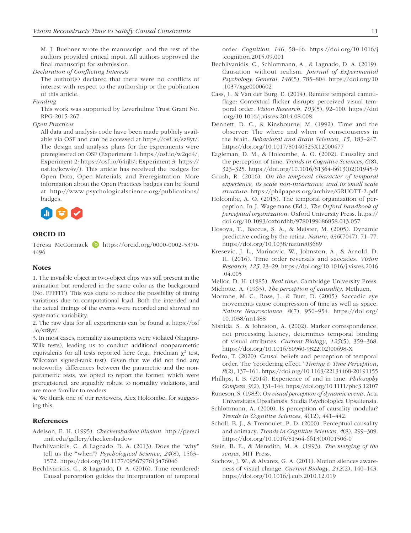M. J. Buehner wrote the manuscript, and the rest of the authors provided critical input. All authors approved the final manuscript for submission.

## *Declaration of Conflicting Interests*

The author(s) declared that there were no conflicts of interest with respect to the authorship or the publication of this article.

## *Funding*

This work was supported by Leverhulme Trust Grant No. RPG-2015-267.

### *Open Practices*

All data and analysis code have been made publicly available via OSF and can be accessed at https://osf.io/sz8yt/. The design and analysis plans for the experiments were preregistered on OSF (Experiment 1: https://osf.io/w2qd4/; Experiment 2: https://osf.io/64rjb/; Experiment 3: https:// osf.io/kcw4v/). This article has received the badges for Open Data, Open Materials, and Preregistration. More information about the Open Practices badges can be found at http://www.psychologicalscience.org/publications/ badges.



## ORCID iD

Teresa McCormack D https://orcid.org/0000-0002-5370-4496

### **Notes**

1. The invisible object in two-object clips was still present in the animation but rendered in the same color as the background (No. FFFFFF). This was done to reduce the possibility of timing variations due to computational load. Both the intended and the actual timings of the events were recorded and showed no systematic variability.

2. The raw data for all experiments can be found at https://osf .io/sz8yt/.

3. In most cases, normality assumptions were violated (Shapiro-Wilk tests), leading us to conduct additional nonparametric equivalents for all tests reported here (e.g., Friedman  $\chi^2$  test, Wilcoxon signed-rank test). Given that we did not find any noteworthy differences between the parametric and the nonparametric tests, we opted to report the former, which were preregistered, are arguably robust to normality violations, and are more familiar to readers.

4. We thank one of our reviewers, Alex Holcombe, for suggesting this.

## References

Adelson, E. H. (1995). *Checkershadow illusion*. http://persci .mit.edu/gallery/checkershadow

- Bechlivanidis, C., & Lagnado, D. A. (2013). Does the "why" tell us the "when"? *Psychological Science*, *24*(8), 1563– 1572. https://doi.org/10.1177/0956797613476046
- Bechlivanidis, C., & Lagnado, D. A. (2016). Time reordered: Causal perception guides the interpretation of temporal

order. *Cognition*, *146*, 58–66. https://doi.org/10.1016/j .cognition.2015.09.001

- Bechlivanidis, C., Schlottmann, A., & Lagnado, D. A. (2019). Causation without realism. *Journal of Experimental Psychology: General*, *148*(5), 785–804. https://doi.org/10 .1037/xge0000602
- Cass, J., & Van der Burg, E. (2014). Remote temporal camouflage: Contextual flicker disrupts perceived visual temporal order. *Vision Research*, *103*(5), 92–100. https://doi .org/10.1016/j.visres.2014.08.008
- Dennett, D. C., & Kinsbourne, M. (1992). Time and the observer: The where and when of consciousness in the brain. *Behavioral and Brain Sciences*, *15*, 183–247. https://doi.org/10.1017/S0140525X12000477
- Eagleman, D. M., & Holcombe, A. O. (2002). Causality and the perception of time. *Trends in Cognitive Sciences*, *6*(8), 323–325. https://doi.org/10.1016/S1364-6613(02)01945-9
- Grush, R. (2016). *On the temporal character of temporal experience, its scale non-invariance, and its small scale structure*. https://philpapers.org/archive/GRUOTT-2.pdf
- Holcombe, A. O. (2015). The temporal organization of perception. In J. Wagemans (Ed.), *The Oxford handbook of perceptual organization*. Oxford University Press. https:// doi.org/10.1093/oxfordhb/9780199686858.013.057
- Hosoya, T., Baccus, S. A., & Meister, M. (2005). Dynamic predictive coding by the retina. *Nature*, *436*(7047), 71–77. https://doi.org/10.1038/nature03689
- Kresevic, J. L., Marinovic, W., Johnston, A., & Arnold, D. H. (2016). Time order reversals and saccades. *Vision Research*, *125*, 23–29. https://doi.org/10.1016/j.visres.2016 .04.005
- Mellor, D. H. (1985). *Real time*. Cambridge University Press.
- Michotte, A. (1963). *The perception of causality*. Methuen.
- Morrone, M. C., Ross, J., & Burr, D. (2005). Saccadic eye movements cause compression of time as well as space. *Nature Neuroscience*, *8*(7), 950–954. https://doi.org/ 10.1038/nn1488
- Nishida, S., & Johnston, A. (2002). Marker correspondence, not processing latency, determines temporal binding of visual attributes. *Current Biology*, *125*(5), 359–368. https://doi.org/10.1016/S0960-9822(02)00698-X
- Pedro, T. (2020). Causal beliefs and perception of temporal order. The 'reordering effect.*' Timing & Time Perception*, *8*(2), 137–161. https://doi.org/10.1163/22134468-20191155
- Phillips, I. B. (2014). Experience of and in time. *Philosophy Compass*, *9*(2), 131–144. https://doi.org/10.1111/phc3.12107
- Runeson, S. (1983). *On visual perception of dynamic events*. Acta Universitatis Upsaliensis: Studia Psychologica Upsaliensia.
- Schlottmann, A. (2000). Is perception of causality modular? *Trends in Cognitive Sciences*, *4*(12), 441–442.
- Scholl, B. J., & Tremoulet, P. D. (2000). Perceptual causality and animacy. *Trends in Cognitive Sciences*, *4*(8), 299–309. https://doi.org/10.1016/S1364-6613(00)01506-0
- Stein, B. E., & Meredith, M. A. (1993). *The merging of the senses*. MIT Press.
- Suchow, J. W., & Alvarez, G. A. (2011). Motion silences awareness of visual change. *Current Biology*, *212*(2), 140–143. https://doi.org/10.1016/j.cub.2010.12.019